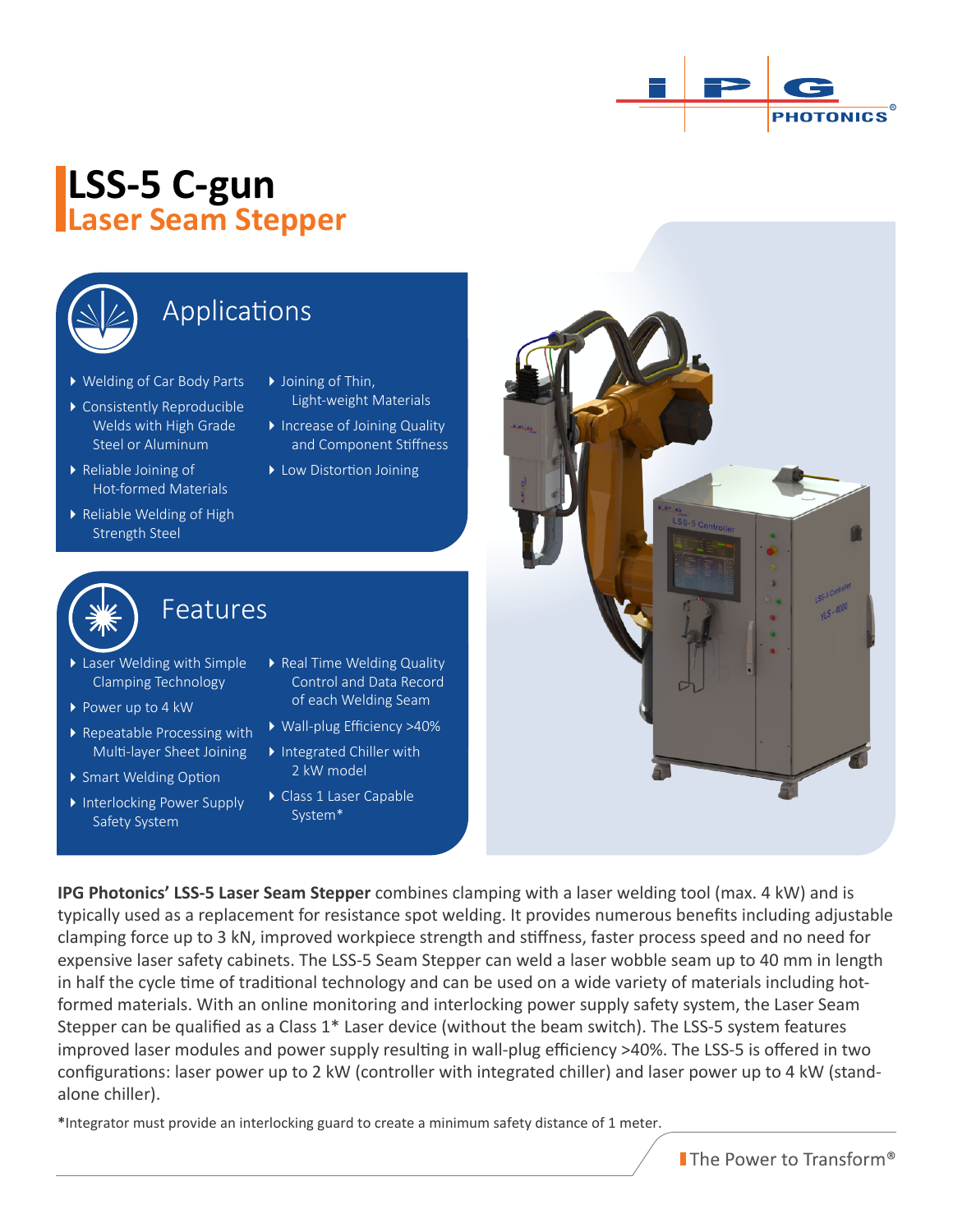

## **LSS-5 C-gun Laser Seam Stepper**



### Applications

- Welding of Car Body Parts
- Consistently Reproducible Welds with High Grade Steel or Aluminum
- ▶ Reliable Joining of Hot-formed Materials
- Reliable Welding of High Strength Steel
- ▶ Joining of Thin, Light-weight Materials
- Increase of Joining Quality and Component Stiffness
- ▶ Low Distortion Joining



### Features

Features

- ▶ Laser Welding with Simple Clamping Technology
- ▶ Power up to 4 kW
- ▶ Repeatable Processing with Multi-layer Sheet Joining
- ▶ Smart Welding Option
- Interlocking Power Supply Safety System
- ▶ Real Time Welding Quality Control and Data Record of each Welding Seam
- Wall-plug Efficiency >40%
- ▶ Integrated Chiller with 2 kW model
- Class 1 Laser Capable System\*

**IPG Photonics' LSS-5 Laser Seam Stepper** combines clamping with a laser welding tool (max. 4 kW) and is typically used as a replacement for resistance spot welding. It provides numerous benefits including adjustable clamping force up to 3 kN, improved workpiece strength and stiffness, faster process speed and no need for expensive laser safety cabinets. The LSS-5 Seam Stepper can weld a laser wobble seam up to 40 mm in length in half the cycle time of traditional technology and can be used on a wide variety of materials including hotformed materials. With an online monitoring and interlocking power supply safety system, the Laser Seam Stepper can be qualified as a Class 1\* Laser device (without the beam switch). The LSS-5 system features improved laser modules and power supply resulting in wall-plug efficiency >40%. The LSS-5 is offered in two configurations: laser power up to 2 kW (controller with integrated chiller) and laser power up to 4 kW (standalone chiller).

**\***Integrator must provide an interlocking guard to create a minimum safety distance of 1 meter.